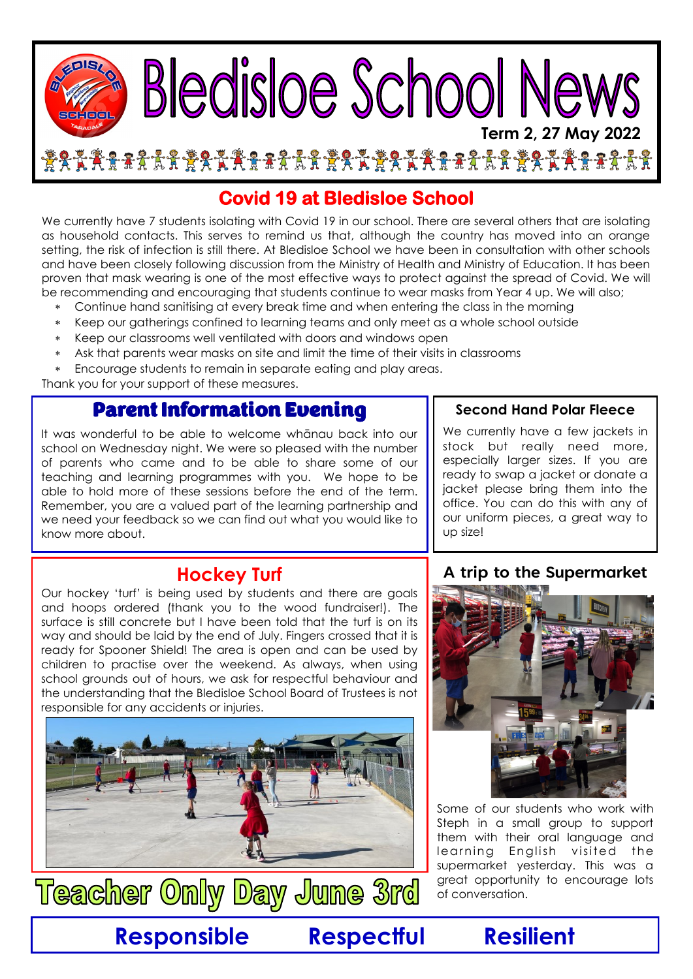

## **Covid 19 at Bledisloe School**

We currently have 7 students isolating with Covid 19 in our school. There are several others that are isolating as household contacts. This serves to remind us that, although the country has moved into an orange setting, the risk of infection is still there. At Bledisloe School we have been in consultation with other schools and have been closely following discussion from the Ministry of Health and Ministry of Education. It has been proven that mask wearing is one of the most effective ways to protect against the spread of Covid. We will be recommending and encouraging that students continue to wear masks from Year 4 up. We will also;

- Continue hand sanitising at every break time and when entering the class in the morning
- Keep our gatherings confined to learning teams and only meet as a whole school outside
- Keep our classrooms well ventilated with doors and windows open
- Ask that parents wear masks on site and limit the time of their visits in classrooms
- Encourage students to remain in separate eating and play areas.

Thank you for your support of these measures.

## Parent Information Evening

It was wonderful to be able to welcome whānau back into our school on Wednesday night. We were so pleased with the number of parents who came and to be able to share some of our teaching and learning programmes with you. We hope to be able to hold more of these sessions before the end of the term. Remember, you are a valued part of the learning partnership and we need your feedback so we can find out what you would like to know more about.

## **Hockey Turf**

Our hockey 'turf' is being used by students and there are goals and hoops ordered (thank you to the wood fundraiser!). The surface is still concrete but I have been told that the turf is on its way and should be laid by the end of July. Fingers crossed that it is ready for Spooner Shield! The area is open and can be used by children to practise over the weekend. As always, when using school grounds out of hours, we ask for respectful behaviour and the understanding that the Bledisloe School Board of Trustees is not responsible for any accidents or injuries.



**Teacher Only Day June 3rd** 

#### **Second Hand Polar Fleece**

We currently have a few jackets in stock but really need more, especially larger sizes. If you are ready to swap a jacket or donate a jacket please bring them into the office. You can do this with any of our uniform pieces, a great way to up size!

### **A trip to the Supermarket**



Some of our students who work with Steph in a small group to support them with their oral language and learning English visited the supermarket yesterday. This was a great opportunity to encourage lots of conversation.

# **Responsible Respectful Resilient**